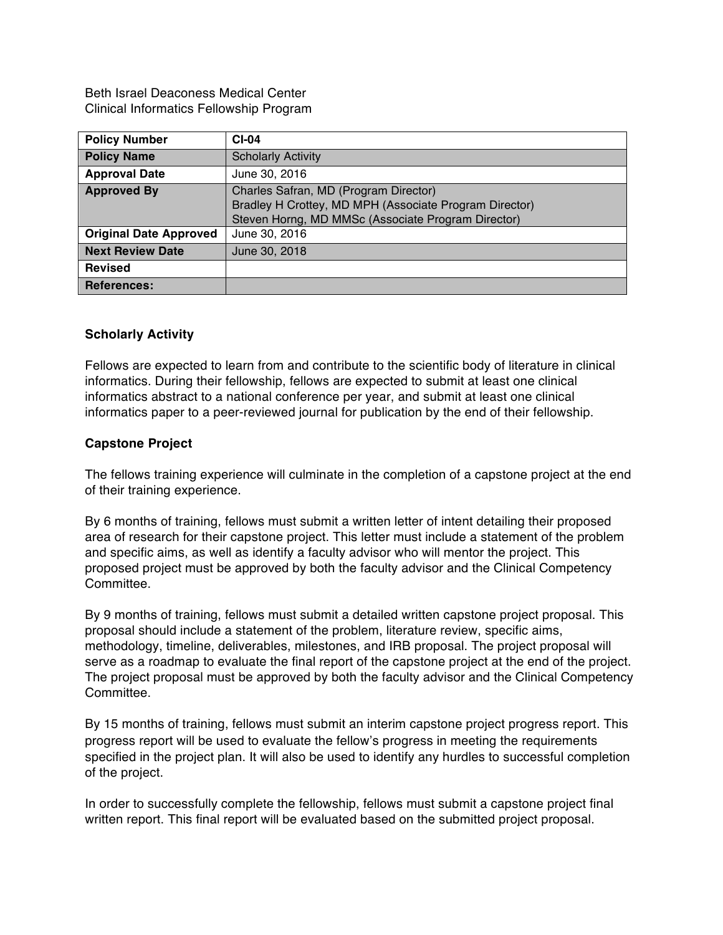Beth Israel Deaconess Medical Center Clinical Informatics Fellowship Program

| <b>Policy Number</b>          | $CI-04$                                                                                                                                               |
|-------------------------------|-------------------------------------------------------------------------------------------------------------------------------------------------------|
| <b>Policy Name</b>            | <b>Scholarly Activity</b>                                                                                                                             |
| <b>Approval Date</b>          | June 30, 2016                                                                                                                                         |
| <b>Approved By</b>            | Charles Safran, MD (Program Director)<br>Bradley H Crottey, MD MPH (Associate Program Director)<br>Steven Horng, MD MMSc (Associate Program Director) |
| <b>Original Date Approved</b> | June 30, 2016                                                                                                                                         |
| <b>Next Review Date</b>       | June 30, 2018                                                                                                                                         |
| <b>Revised</b>                |                                                                                                                                                       |
| <b>References:</b>            |                                                                                                                                                       |

## **Scholarly Activity**

Fellows are expected to learn from and contribute to the scientific body of literature in clinical informatics. During their fellowship, fellows are expected to submit at least one clinical informatics abstract to a national conference per year, and submit at least one clinical informatics paper to a peer-reviewed journal for publication by the end of their fellowship.

## **Capstone Project**

The fellows training experience will culminate in the completion of a capstone project at the end of their training experience.

By 6 months of training, fellows must submit a written letter of intent detailing their proposed area of research for their capstone project. This letter must include a statement of the problem and specific aims, as well as identify a faculty advisor who will mentor the project. This proposed project must be approved by both the faculty advisor and the Clinical Competency Committee.

By 9 months of training, fellows must submit a detailed written capstone project proposal. This proposal should include a statement of the problem, literature review, specific aims, methodology, timeline, deliverables, milestones, and IRB proposal. The project proposal will serve as a roadmap to evaluate the final report of the capstone project at the end of the project. The project proposal must be approved by both the faculty advisor and the Clinical Competency **Committee.** 

By 15 months of training, fellows must submit an interim capstone project progress report. This progress report will be used to evaluate the fellow's progress in meeting the requirements specified in the project plan. It will also be used to identify any hurdles to successful completion of the project.

In order to successfully complete the fellowship, fellows must submit a capstone project final written report. This final report will be evaluated based on the submitted project proposal.